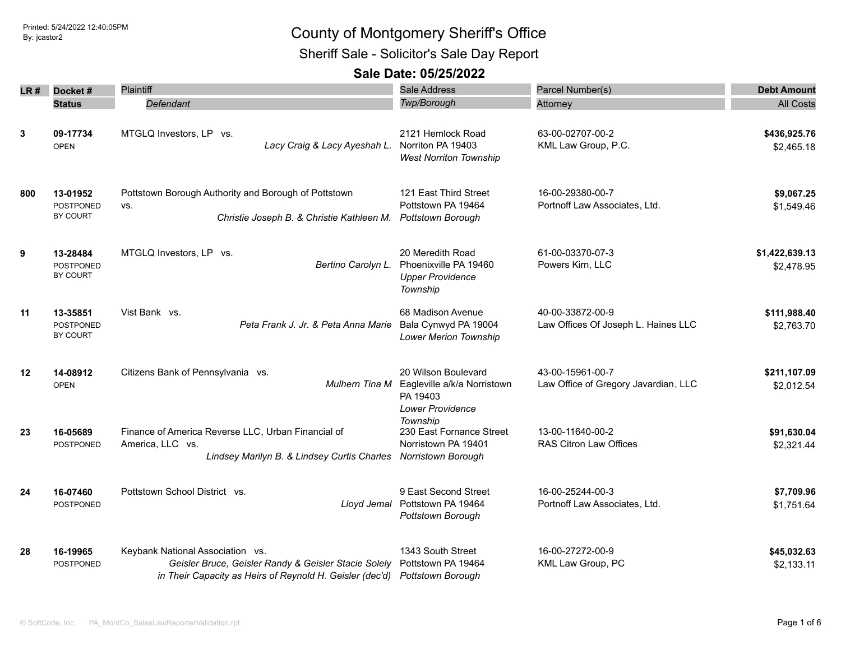Sheriff Sale - Solicitor's Sale Day Report

| LR#     | Docket#                                  | Plaintiff                                                                                                                                                              | <b>Sale Address</b>                                                                       | Parcel Number(s)                                         | <b>Debt Amount</b>           |
|---------|------------------------------------------|------------------------------------------------------------------------------------------------------------------------------------------------------------------------|-------------------------------------------------------------------------------------------|----------------------------------------------------------|------------------------------|
|         | <b>Status</b>                            | Defendant                                                                                                                                                              | Twp/Borough                                                                               | Attorney                                                 | <b>All Costs</b>             |
| 3       | 09-17734<br><b>OPEN</b>                  | MTGLQ Investors, LP vs.<br>Lacy Craig & Lacy Ayeshah L.                                                                                                                | 2121 Hemlock Road<br>Norriton PA 19403<br><b>West Norriton Township</b>                   | 63-00-02707-00-2<br>KML Law Group, P.C.                  | \$436,925.76<br>\$2,465.18   |
| 800     | 13-01952<br><b>POSTPONED</b><br>BY COURT | Pottstown Borough Authority and Borough of Pottstown<br>VS.<br>Christie Joseph B. & Christie Kathleen M.                                                               | 121 East Third Street<br>Pottstown PA 19464<br>Pottstown Borough                          | 16-00-29380-00-7<br>Portnoff Law Associates, Ltd.        | \$9,067.25<br>\$1,549.46     |
| 9       | 13-28484<br><b>POSTPONED</b><br>BY COURT | MTGLQ Investors, LP vs.<br>Bertino Carolyn L.                                                                                                                          | 20 Meredith Road<br>Phoenixville PA 19460<br><b>Upper Providence</b><br>Township          | 61-00-03370-07-3<br>Powers Kirn, LLC                     | \$1,422,639.13<br>\$2,478.95 |
| 11      | 13-35851<br><b>POSTPONED</b><br>BY COURT | Vist Bank vs.<br>Peta Frank J. Jr. & Peta Anna Marie                                                                                                                   | 68 Madison Avenue<br>Bala Cynwyd PA 19004<br>Lower Merion Township                        | 40-00-33872-00-9<br>Law Offices Of Joseph L. Haines LLC  | \$111,988.40<br>\$2,763.70   |
| $12 \,$ | 14-08912<br><b>OPEN</b>                  | Citizens Bank of Pennsylvania vs.<br>Mulhern Tina M                                                                                                                    | 20 Wilson Boulevard<br>Eagleville a/k/a Norristown<br>PA 19403<br><b>Lower Providence</b> | 43-00-15961-00-7<br>Law Office of Gregory Javardian, LLC | \$211,107.09<br>\$2,012.54   |
| 23      | 16-05689<br><b>POSTPONED</b>             | Finance of America Reverse LLC, Urban Financial of<br>America, LLC vs.<br>Lindsey Marilyn B. & Lindsey Curtis Charles                                                  | Township<br>230 East Fornance Street<br>Norristown PA 19401<br>Norristown Borough         | 13-00-11640-00-2<br><b>RAS Citron Law Offices</b>        | \$91,630.04<br>\$2,321.44    |
| 24      | 16-07460<br><b>POSTPONED</b>             | Pottstown School District vs.<br>Lloyd Jemal                                                                                                                           | 9 East Second Street<br>Pottstown PA 19464<br>Pottstown Borough                           | 16-00-25244-00-3<br>Portnoff Law Associates, Ltd.        | \$7,709.96<br>\$1,751.64     |
| 28      | 16-19965<br>POSTPONED                    | Keybank National Association vs.<br>Geisler Bruce, Geisler Randy & Geisler Stacie Solely<br>in Their Capacity as Heirs of Reynold H. Geisler (dec'd) Pottstown Borough | 1343 South Street<br>Pottstown PA 19464                                                   | 16-00-27272-00-9<br>KML Law Group, PC                    | \$45,032.63<br>\$2,133.11    |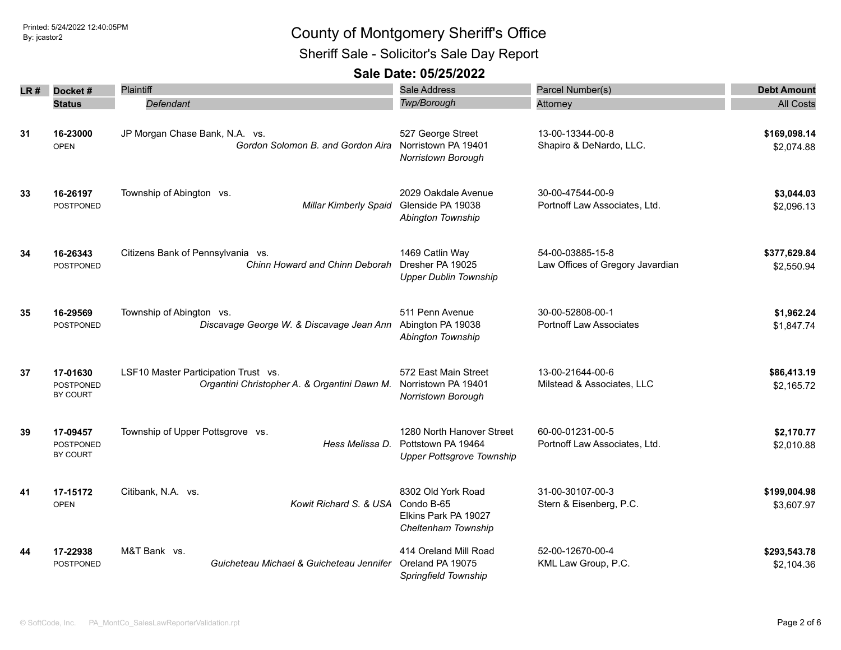Sheriff Sale - Solicitor's Sale Day Report

| LR # | Docket#                                  | Plaintiff                                                                            | <b>Sale Address</b>                                                                 | Parcel Number(s)                                     | <b>Debt Amount</b>         |
|------|------------------------------------------|--------------------------------------------------------------------------------------|-------------------------------------------------------------------------------------|------------------------------------------------------|----------------------------|
|      | <b>Status</b>                            | Defendant                                                                            | <b>Twp/Borough</b>                                                                  | Attorney                                             | <b>All Costs</b>           |
| 31   | 16-23000<br><b>OPEN</b>                  | JP Morgan Chase Bank, N.A. vs.<br>Gordon Solomon B, and Gordon Aira                  | 527 George Street<br>Norristown PA 19401<br>Norristown Borough                      | 13-00-13344-00-8<br>Shapiro & DeNardo, LLC.          | \$169,098.14<br>\$2,074.88 |
| 33   | 16-26197<br><b>POSTPONED</b>             | Township of Abington vs.<br><b>Millar Kimberly Spaid</b>                             | 2029 Oakdale Avenue<br>Glenside PA 19038<br>Abington Township                       | 30-00-47544-00-9<br>Portnoff Law Associates, Ltd.    | \$3,044.03<br>\$2,096.13   |
| 34   | 16-26343<br><b>POSTPONED</b>             | Citizens Bank of Pennsylvania vs.<br>Chinn Howard and Chinn Deborah                  | 1469 Catlin Way<br>Dresher PA 19025<br><b>Upper Dublin Township</b>                 | 54-00-03885-15-8<br>Law Offices of Gregory Javardian | \$377,629.84<br>\$2,550.94 |
| 35   | 16-29569<br><b>POSTPONED</b>             | Township of Abington vs.<br>Discavage George W. & Discavage Jean Ann                 | 511 Penn Avenue<br>Abington PA 19038<br>Abington Township                           | 30-00-52808-00-1<br><b>Portnoff Law Associates</b>   | \$1,962.24<br>\$1,847.74   |
| 37   | 17-01630<br><b>POSTPONED</b><br>BY COURT | LSF10 Master Participation Trust vs.<br>Organtini Christopher A. & Organtini Dawn M. | 572 East Main Street<br>Norristown PA 19401<br>Norristown Borough                   | 13-00-21644-00-6<br>Milstead & Associates, LLC       | \$86,413.19<br>\$2,165.72  |
| 39   | 17-09457<br><b>POSTPONED</b><br>BY COURT | Township of Upper Pottsgrove vs.<br>Hess Melissa D.                                  | 1280 North Hanover Street<br>Pottstown PA 19464<br><b>Upper Pottsgrove Township</b> | 60-00-01231-00-5<br>Portnoff Law Associates, Ltd.    | \$2,170.77<br>\$2,010.88   |
| 41   | 17-15172<br><b>OPEN</b>                  | Citibank, N.A. vs.<br>Kowit Richard S. & USA Condo B-65                              | 8302 Old York Road<br>Elkins Park PA 19027<br>Cheltenham Township                   | 31-00-30107-00-3<br>Stern & Eisenberg, P.C.          | \$199,004.98<br>\$3,607.97 |
| 44   | 17-22938<br>POSTPONED                    | M&T Bank vs.<br>Guicheteau Michael & Guicheteau Jennifer                             | 414 Oreland Mill Road<br>Oreland PA 19075<br>Springfield Township                   | 52-00-12670-00-4<br>KML Law Group, P.C.              | \$293,543.78<br>\$2,104.36 |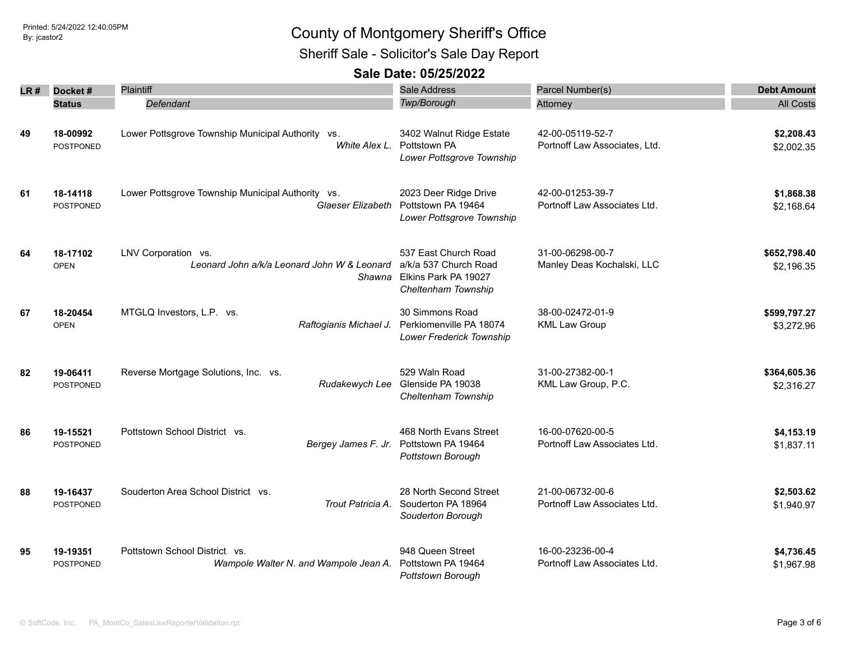Sheriff Sale - Solicitor's Sale Day Report

| LR # | Docket#          | Plaintiff                                             | <b>Sale Address</b>                                                  | Parcel Number(s)              |                                                                                                                                                                                                                                    |
|------|------------------|-------------------------------------------------------|----------------------------------------------------------------------|-------------------------------|------------------------------------------------------------------------------------------------------------------------------------------------------------------------------------------------------------------------------------|
|      | <b>Status</b>    | Defendant                                             | Twp/Borough                                                          | Attorney                      |                                                                                                                                                                                                                                    |
|      |                  |                                                       |                                                                      |                               |                                                                                                                                                                                                                                    |
| 49   | 18-00992         | Lower Pottsgrove Township Municipal Authority vs.     | 3402 Walnut Ridge Estate                                             | 42-00-05119-52-7              | \$2,208.43                                                                                                                                                                                                                         |
|      | POSTPONED        | White Alex L.                                         | Pottstown PA<br>Lower Pottsgrove Township                            | Portnoff Law Associates, Ltd. | \$2,002.35                                                                                                                                                                                                                         |
| 61   | 18-14118         | Lower Pottsgrove Township Municipal Authority vs.     | 2023 Deer Ridge Drive                                                | 42-00-01253-39-7              |                                                                                                                                                                                                                                    |
|      | <b>POSTPONED</b> | Glaeser Elizabeth                                     | Pottstown PA 19464<br>Lower Pottsgrove Township                      | Portnoff Law Associates Ltd.  | \$2,168.64                                                                                                                                                                                                                         |
| 64   | 18-17102         | LNV Corporation vs.                                   | 537 East Church Road                                                 | 31-00-06298-00-7              | <b>Debt Amount</b><br><b>All Costs</b><br>\$1,868.38<br>\$652,798.40<br>\$2,196.35<br>\$599,797.27<br>\$3,272.96<br>\$364,605.36<br>\$2,316.27<br>\$4,153.19<br>\$1,837.11<br>\$2,503.62<br>\$1,940.97<br>\$4,736.45<br>\$1,967.98 |
|      | <b>OPEN</b>      | Leonard John a/k/a Leonard John W & Leonard<br>Shawna | a/k/a 537 Church Road<br>Elkins Park PA 19027<br>Cheltenham Township | Manley Deas Kochalski, LLC    |                                                                                                                                                                                                                                    |
| 67   | 18-20454         | MTGLQ Investors, L.P. vs.                             | 30 Simmons Road                                                      | 38-00-02472-01-9              |                                                                                                                                                                                                                                    |
|      | <b>OPEN</b>      | Raftogianis Michael J.                                | Perkiomenville PA 18074<br>Lower Frederick Township                  | <b>KML Law Group</b>          |                                                                                                                                                                                                                                    |
| 82   | 19-06411         | Reverse Mortgage Solutions, Inc. vs.                  | 529 Waln Road                                                        | 31-00-27382-00-1              |                                                                                                                                                                                                                                    |
|      | <b>POSTPONED</b> | Rudakewych Lee                                        | Glenside PA 19038<br>Cheltenham Township                             | KML Law Group, P.C.           |                                                                                                                                                                                                                                    |
| 86   | 19-15521         | Pottstown School District vs.                         | 468 North Evans Street                                               | 16-00-07620-00-5              |                                                                                                                                                                                                                                    |
|      | POSTPONED        | Bergey James F. Jr.                                   | Pottstown PA 19464<br>Pottstown Borough                              | Portnoff Law Associates Ltd.  |                                                                                                                                                                                                                                    |
| 88   | 19-16437         | Souderton Area School District vs.                    | 28 North Second Street                                               | 21-00-06732-00-6              |                                                                                                                                                                                                                                    |
|      | <b>POSTPONED</b> | Trout Patricia A.                                     | Souderton PA 18964<br>Souderton Borough                              | Portnoff Law Associates Ltd.  |                                                                                                                                                                                                                                    |
| 95   | 19-19351         | Pottstown School District vs.                         | 948 Queen Street                                                     | 16-00-23236-00-4              |                                                                                                                                                                                                                                    |
|      | POSTPONED        | Wampole Walter N. and Wampole Jean A.                 | Pottstown PA 19464<br>Pottstown Borough                              | Portnoff Law Associates Ltd.  |                                                                                                                                                                                                                                    |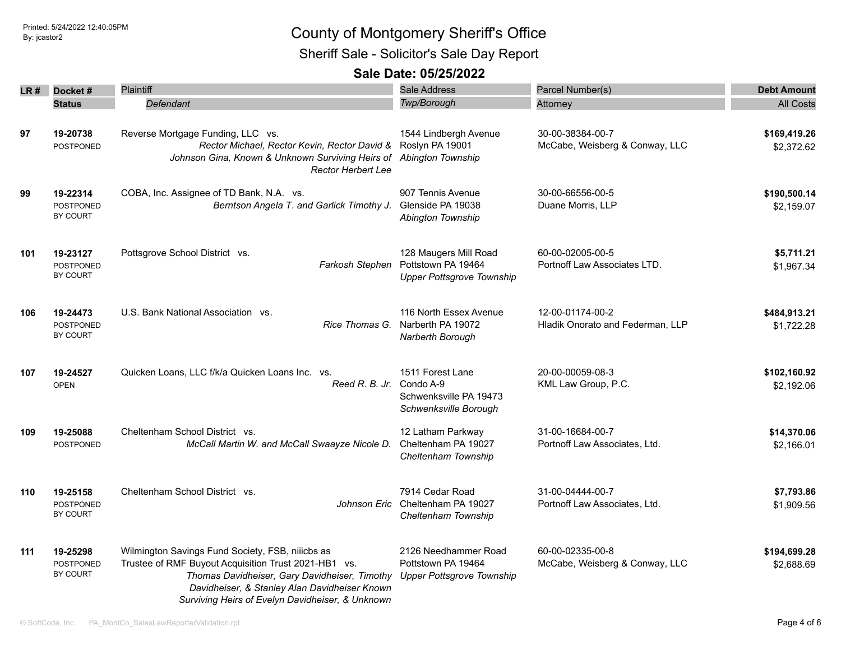Sheriff Sale - Solicitor's Sale Day Report

| LR# | Docket#                                         | <b>Plaintiff</b>                                                                                                                                                                                                                                               | <b>Sale Address</b>                                                              | Parcel Number(s)                                     | <b>Debt Amount</b>         |
|-----|-------------------------------------------------|----------------------------------------------------------------------------------------------------------------------------------------------------------------------------------------------------------------------------------------------------------------|----------------------------------------------------------------------------------|------------------------------------------------------|----------------------------|
|     | <b>Status</b>                                   | Defendant                                                                                                                                                                                                                                                      | Twp/Borough                                                                      | Attorney                                             | <b>All Costs</b>           |
| 97  | 19-20738<br><b>POSTPONED</b>                    | Reverse Mortgage Funding, LLC vs.<br>Rector Michael, Rector Kevin, Rector David &<br>Johnson Gina, Known & Unknown Surviving Heirs of<br><b>Rector Herbert Lee</b>                                                                                             | 1544 Lindbergh Avenue<br>Roslyn PA 19001<br>Abington Township                    | 30-00-38384-00-7<br>McCabe, Weisberg & Conway, LLC   | \$169,419.26<br>\$2,372.62 |
| 99  | 19-22314<br><b>POSTPONED</b><br>BY COURT        | COBA, Inc. Assignee of TD Bank, N.A. vs.<br>Berntson Angela T. and Garlick Timothy J.                                                                                                                                                                          | 907 Tennis Avenue<br>Glenside PA 19038<br>Abington Township                      | 30-00-66556-00-5<br>Duane Morris, LLP                | \$190,500.14<br>\$2,159.07 |
| 101 | 19-23127<br><b>POSTPONED</b><br>BY COURT        | Pottsgrove School District vs.<br>Farkosh Stephen                                                                                                                                                                                                              | 128 Maugers Mill Road<br>Pottstown PA 19464<br><b>Upper Pottsgrove Township</b>  | 60-00-02005-00-5<br>Portnoff Law Associates LTD.     | \$5,711.21<br>\$1,967.34   |
| 106 | 19-24473<br><b>POSTPONED</b><br><b>BY COURT</b> | U.S. Bank National Association vs.<br>Rice Thomas G.                                                                                                                                                                                                           | 116 North Essex Avenue<br>Narberth PA 19072<br>Narberth Borough                  | 12-00-01174-00-2<br>Hladik Onorato and Federman, LLP | \$484,913.21<br>\$1,722.28 |
| 107 | 19-24527<br><b>OPEN</b>                         | Quicken Loans, LLC f/k/a Quicken Loans Inc. vs.<br>Reed R. B. Jr.                                                                                                                                                                                              | 1511 Forest Lane<br>Condo A-9<br>Schwenksville PA 19473<br>Schwenksville Borough | 20-00-00059-08-3<br>KML Law Group, P.C.              | \$102,160.92<br>\$2,192.06 |
| 109 | 19-25088<br><b>POSTPONED</b>                    | Cheltenham School District vs.<br>McCall Martin W. and McCall Swaayze Nicole D.                                                                                                                                                                                | 12 Latham Parkway<br>Cheltenham PA 19027<br>Cheltenham Township                  | 31-00-16684-00-7<br>Portnoff Law Associates, Ltd.    | \$14,370.06<br>\$2,166.01  |
| 110 | 19-25158<br><b>POSTPONED</b><br><b>BY COURT</b> | Cheltenham School District vs.<br>Johnson Eric                                                                                                                                                                                                                 | 7914 Cedar Road<br>Cheltenham PA 19027<br>Cheltenham Township                    | 31-00-04444-00-7<br>Portnoff Law Associates, Ltd.    | \$7,793.86<br>\$1,909.56   |
| 111 | 19-25298<br><b>POSTPONED</b><br><b>BY COURT</b> | Wilmington Savings Fund Society, FSB, niiicbs as<br>Trustee of RMF Buyout Acquisition Trust 2021-HB1 vs.<br>Thomas Davidheiser, Gary Davidheiser, Timothy<br>Davidheiser, & Stanley Alan Davidheiser Known<br>Surviving Heirs of Evelyn Davidheiser, & Unknown | 2126 Needhammer Road<br>Pottstown PA 19464<br><b>Upper Pottsgrove Township</b>   | 60-00-02335-00-8<br>McCabe, Weisberg & Conway, LLC   | \$194,699.28<br>\$2,688.69 |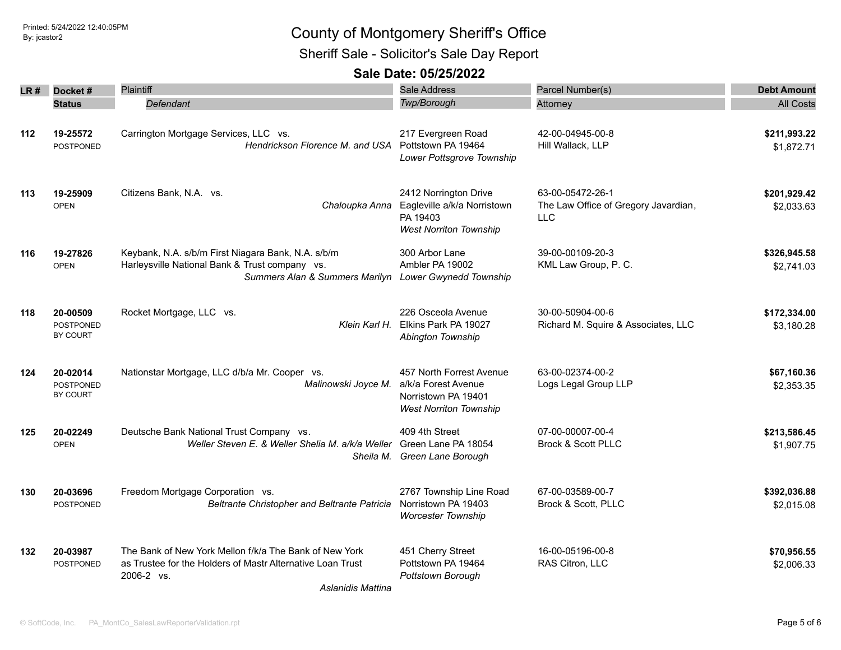Sheriff Sale - Solicitor's Sale Day Report

| LR # | Docket#                                  | <b>Plaintiff</b>                                                                                                                                              | <b>Sale Address</b>                                                                                     | Parcel Number(s)                                                       | <b>Debt Amount</b>         |
|------|------------------------------------------|---------------------------------------------------------------------------------------------------------------------------------------------------------------|---------------------------------------------------------------------------------------------------------|------------------------------------------------------------------------|----------------------------|
|      | <b>Status</b>                            | Defendant                                                                                                                                                     | Twp/Borough                                                                                             | Attorney                                                               | <b>All Costs</b>           |
| 112  | 19-25572<br>POSTPONED                    | Carrington Mortgage Services, LLC vs.<br>Hendrickson Florence M. and USA                                                                                      | 217 Evergreen Road<br>Pottstown PA 19464<br>Lower Pottsgrove Township                                   | 42-00-04945-00-8<br>Hill Wallack, LLP                                  | \$211,993.22<br>\$1,872.71 |
| 113  | 19-25909<br><b>OPEN</b>                  | Citizens Bank, N.A. vs.<br>Chaloupka Anna                                                                                                                     | 2412 Norrington Drive<br>Eagleville a/k/a Norristown<br>PA 19403<br><b>West Norriton Township</b>       | 63-00-05472-26-1<br>The Law Office of Gregory Javardian,<br><b>LLC</b> | \$201,929.42<br>\$2,033.63 |
| 116  | 19-27826<br><b>OPEN</b>                  | Keybank, N.A. s/b/m First Niagara Bank, N.A. s/b/m<br>Harleysville National Bank & Trust company vs.<br>Summers Alan & Summers Marilyn Lower Gwynedd Township | 300 Arbor Lane<br>Ambler PA 19002                                                                       | 39-00-00109-20-3<br>KML Law Group, P. C.                               | \$326,945.58<br>\$2,741.03 |
| 118  | 20-00509<br><b>POSTPONED</b><br>BY COURT | Rocket Mortgage, LLC vs.<br>Klein Karl H.                                                                                                                     | 226 Osceola Avenue<br>Elkins Park PA 19027<br>Abington Township                                         | 30-00-50904-00-6<br>Richard M. Squire & Associates, LLC                | \$172,334.00<br>\$3,180.28 |
| 124  | 20-02014<br><b>POSTPONED</b><br>BY COURT | Nationstar Mortgage, LLC d/b/a Mr. Cooper vs.<br>Malinowski Joyce M.                                                                                          | 457 North Forrest Avenue<br>a/k/a Forest Avenue<br>Norristown PA 19401<br><b>West Norriton Township</b> | 63-00-02374-00-2<br>Logs Legal Group LLP                               | \$67,160.36<br>\$2,353.35  |
| 125  | 20-02249<br><b>OPEN</b>                  | Deutsche Bank National Trust Company vs.<br>Weller Steven E. & Weller Shelia M. a/k/a Weller                                                                  | 409 4th Street<br>Green Lane PA 18054<br>Sheila M. Green Lane Borough                                   | 07-00-00007-00-4<br><b>Brock &amp; Scott PLLC</b>                      | \$213,586.45<br>\$1,907.75 |
| 130  | 20-03696<br><b>POSTPONED</b>             | Freedom Mortgage Corporation vs.<br><b>Beltrante Christopher and Beltrante Patricia</b>                                                                       | 2767 Township Line Road<br>Norristown PA 19403<br><b>Worcester Township</b>                             | 67-00-03589-00-7<br>Brock & Scott, PLLC                                | \$392,036.88<br>\$2,015.08 |
| 132  | 20-03987<br><b>POSTPONED</b>             | The Bank of New York Mellon f/k/a The Bank of New York<br>as Trustee for the Holders of Mastr Alternative Loan Trust<br>2006-2 vs.<br>Aslanidis Mattina       | 451 Cherry Street<br>Pottstown PA 19464<br>Pottstown Borough                                            | 16-00-05196-00-8<br>RAS Citron, LLC                                    | \$70,956.55<br>\$2,006.33  |